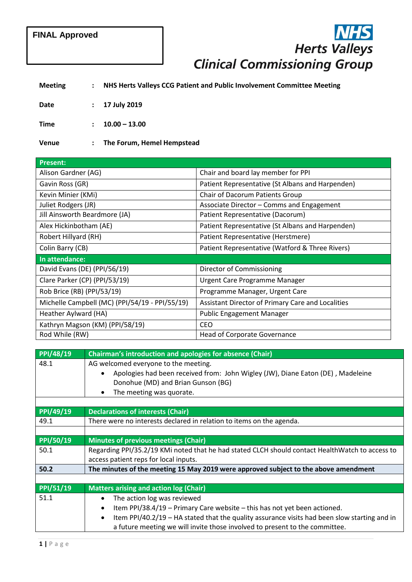**FINAL Approved**

## **Herts Valleys Clinical Commissioning Group**

## **Meeting : NHS Herts Valleys CCG Patient and Public Involvement Committee Meeting**

**Date : 17 July 2019**

**Time : 10.00 – 13.00**

**Venue : The Forum, Hemel Hempstead**

| <b>Present:</b>                                |                                                   |  |
|------------------------------------------------|---------------------------------------------------|--|
| Alison Gardner (AG)                            | Chair and board lay member for PPI                |  |
| Gavin Ross (GR)                                | Patient Representative (St Albans and Harpenden)  |  |
| Kevin Minier (KMi)                             | Chair of Dacorum Patients Group                   |  |
| Juliet Rodgers (JR)                            | Associate Director - Comms and Engagement         |  |
| Jill Ainsworth Beardmore (JA)                  | Patient Representative (Dacorum)                  |  |
| Alex Hickinbotham (AE)                         | Patient Representative (St Albans and Harpenden)  |  |
| Robert Hillyard (RH)                           | Patient Representative (Herstmere)                |  |
| Colin Barry (CB)                               | Patient Representative (Watford & Three Rivers)   |  |
| In attendance:                                 |                                                   |  |
| David Evans (DE) (PPI/56/19)                   | Director of Commissioning                         |  |
| Clare Parker (CP) (PPI/53/19)                  | Urgent Care Programme Manager                     |  |
| Rob Brice (RB) (PPI/53/19)                     | Programme Manager, Urgent Care                    |  |
| Michelle Campbell (MC) (PPI/54/19 - PPI/55/19) | Assistant Director of Primary Care and Localities |  |
| Heather Aylward (HA)                           | <b>Public Engagement Manager</b>                  |  |
| Kathryn Magson (KM) (PPI/58/19)                | CEO                                               |  |
| Rod While (RW)                                 | <b>Head of Corporate Governance</b>               |  |

| PPI/48/19 | <b>Chairman's introduction and apologies for absence (Chair)</b>                                                                     |
|-----------|--------------------------------------------------------------------------------------------------------------------------------------|
| 48.1      | AG welcomed everyone to the meeting.<br>Apologies had been received from: John Wigley (JW), Diane Eaton (DE), Madeleine<br>$\bullet$ |
|           | Donohue (MD) and Brian Gunson (BG)                                                                                                   |
|           | The meeting was quorate.<br>$\bullet$                                                                                                |
|           |                                                                                                                                      |
| PPI/49/19 | <b>Declarations of interests (Chair)</b>                                                                                             |
| 49.1      | There were no interests declared in relation to items on the agenda.                                                                 |
|           |                                                                                                                                      |
| PPI/50/19 | <b>Minutes of previous meetings (Chair)</b>                                                                                          |
| 50.1      | Regarding PPI/35.2/19 KMi noted that he had stated CLCH should contact HealthWatch to access to                                      |
|           | access patient reps for local inputs.                                                                                                |
| 50.2      | The minutes of the meeting 15 May 2019 were approved subject to the above amendment                                                  |
|           |                                                                                                                                      |
| PPI/51/19 | <b>Matters arising and action log (Chair)</b>                                                                                        |
| 51.1      | The action log was reviewed<br>$\bullet$                                                                                             |
|           | Item PPI/38.4/19 - Primary Care website - this has not yet been actioned.<br>$\bullet$                                               |
|           | Item PPI/40.2/19 - HA stated that the quality assurance visits had been slow starting and in<br>$\bullet$                            |
|           | a future meeting we will invite those involved to present to the committee.                                                          |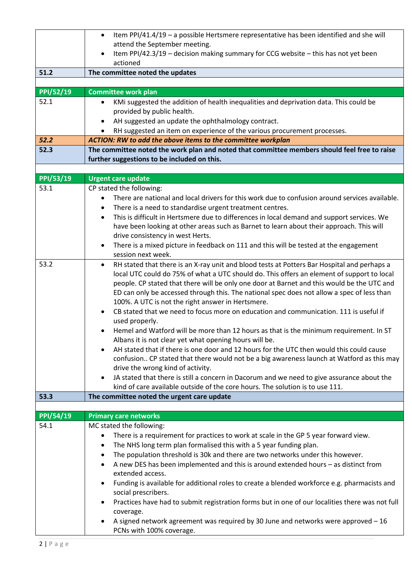|           | Item PPI/41.4/19 - a possible Hertsmere representative has been identified and she will<br>$\bullet$                                             |
|-----------|--------------------------------------------------------------------------------------------------------------------------------------------------|
|           | attend the September meeting.                                                                                                                    |
|           | Item PPI/42.3/19 - decision making summary for CCG website - this has not yet been                                                               |
|           | actioned                                                                                                                                         |
| 51.2      | The committee noted the updates                                                                                                                  |
|           |                                                                                                                                                  |
| PPI/52/19 | <b>Committee work plan</b>                                                                                                                       |
| 52.1      | KMi suggested the addition of health inequalities and deprivation data. This could be<br>$\bullet$                                               |
|           | provided by public health.                                                                                                                       |
|           | AH suggested an update the ophthalmology contract.                                                                                               |
|           | RH suggested an item on experience of the various procurement processes.<br>$\bullet$                                                            |
| 52.2      | <b>ACTION: RW to add the above items to the committee workplan</b>                                                                               |
| 52.3      | The committee noted the work plan and noted that committee members should feel free to raise                                                     |
|           | further suggestions to be included on this.                                                                                                      |
|           |                                                                                                                                                  |
| PPI/53/19 | <b>Urgent care update</b>                                                                                                                        |
| 53.1      | CP stated the following:                                                                                                                         |
|           | There are national and local drivers for this work due to confusion around services available.<br>$\bullet$                                      |
|           | There is a need to standardise urgent treatment centres.<br>$\bullet$                                                                            |
|           | This is difficult in Hertsmere due to differences in local demand and support services. We<br>$\bullet$                                          |
|           | have been looking at other areas such as Barnet to learn about their approach. This will                                                         |
|           | drive consistency in west Herts.                                                                                                                 |
|           | There is a mixed picture in feedback on 111 and this will be tested at the engagement<br>$\bullet$                                               |
|           | session next week.                                                                                                                               |
| 53.2      | RH stated that there is an X-ray unit and blood tests at Potters Bar Hospital and perhaps a<br>$\bullet$                                         |
|           | local UTC could do 75% of what a UTC should do. This offers an element of support to local                                                       |
|           | people. CP stated that there will be only one door at Barnet and this would be the UTC and                                                       |
|           | ED can only be accessed through this. The national spec does not allow a spec of less than                                                       |
|           | 100%. A UTC is not the right answer in Hertsmere.                                                                                                |
|           | CB stated that we need to focus more on education and communication. 111 is useful if                                                            |
|           | used properly.                                                                                                                                   |
|           | Hemel and Watford will be more than 12 hours as that is the minimum requirement. In ST<br>Albans it is not clear yet what opening hours will be. |
|           | AH stated that if there is one door and 12 hours for the UTC then would this could cause<br>$\bullet$                                            |
|           | confusion CP stated that there would not be a big awareness launch at Watford as this may                                                        |
|           | drive the wrong kind of activity.                                                                                                                |
|           | JA stated that there is still a concern in Dacorum and we need to give assurance about the<br>$\bullet$                                          |
|           | kind of care available outside of the core hours. The solution is to use 111.                                                                    |
| 53.3      | The committee noted the urgent care update                                                                                                       |
|           |                                                                                                                                                  |
| PPI/54/19 | <b>Primary care networks</b>                                                                                                                     |
| 54.1      | MC stated the following:                                                                                                                         |
|           | There is a requirement for practices to work at scale in the GP 5 year forward view.<br>٠                                                        |
|           | The NHS long term plan formalised this with a 5 year funding plan.<br>$\bullet$                                                                  |
|           | The population threshold is 30k and there are two networks under this however.<br>$\bullet$                                                      |
|           | A new DES has been implemented and this is around extended hours - as distinct from<br>$\bullet$                                                 |
|           | extended access.                                                                                                                                 |
|           | Funding is available for additional roles to create a blended workforce e.g. pharmacists and<br>٠                                                |
|           | social prescribers.                                                                                                                              |
|           | Practices have had to submit registration forms but in one of our localities there was not full                                                  |
|           | coverage.                                                                                                                                        |
|           | A signed network agreement was required by 30 June and networks were approved - 16<br>$\bullet$                                                  |
|           | PCNs with 100% coverage.                                                                                                                         |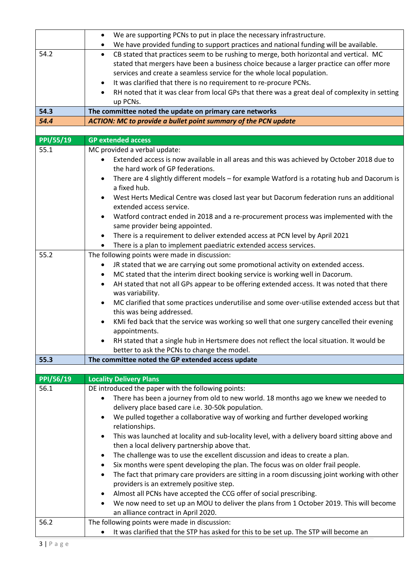|           | We are supporting PCNs to put in place the necessary infrastructure.                                                       |
|-----------|----------------------------------------------------------------------------------------------------------------------------|
|           | We have provided funding to support practices and national funding will be available.                                      |
| 54.2      | CB stated that practices seem to be rushing to merge, both horizontal and vertical. MC<br>$\bullet$                        |
|           | stated that mergers have been a business choice because a larger practice can offer more                                   |
|           | services and create a seamless service for the whole local population.                                                     |
|           | It was clarified that there is no requirement to re-procure PCNs.<br>$\bullet$                                             |
|           | RH noted that it was clear from local GPs that there was a great deal of complexity in setting                             |
|           | up PCNs.                                                                                                                   |
| 54.3      | The committee noted the update on primary care networks                                                                    |
| 54.4      | <b>ACTION: MC to provide a bullet point summary of the PCN update</b>                                                      |
| PPI/55/19 | <b>GP extended access</b>                                                                                                  |
| 55.1      | MC provided a verbal update:                                                                                               |
|           | Extended access is now available in all areas and this was achieved by October 2018 due to                                 |
|           | the hard work of GP federations.                                                                                           |
|           | There are 4 slightly different models - for example Watford is a rotating hub and Dacorum is<br>a fixed hub.               |
|           | West Herts Medical Centre was closed last year but Dacorum federation runs an additional                                   |
|           | extended access service.                                                                                                   |
|           | Watford contract ended in 2018 and a re-procurement process was implemented with the                                       |
|           | same provider being appointed.                                                                                             |
|           | There is a requirement to deliver extended access at PCN level by April 2021<br>$\bullet$                                  |
|           | There is a plan to implement paediatric extended access services.                                                          |
| 55.2      | The following points were made in discussion:                                                                              |
|           | JR stated that we are carrying out some promotional activity on extended access.<br>٠                                      |
|           | MC stated that the interim direct booking service is working well in Dacorum.<br>٠                                         |
|           | AH stated that not all GPs appear to be offering extended access. It was noted that there<br>$\bullet$<br>was variability. |
|           | MC clarified that some practices underutilise and some over-utilise extended access but that<br>$\bullet$                  |
|           | this was being addressed.                                                                                                  |
|           | KMi fed back that the service was working so well that one surgery cancelled their evening                                 |
|           | appointments.                                                                                                              |
|           | RH stated that a single hub in Hertsmere does not reflect the local situation. It would be                                 |
|           | better to ask the PCNs to change the model.                                                                                |
| 55.3      | The committee noted the GP extended access update                                                                          |
|           |                                                                                                                            |
| PPI/56/19 | <b>Locality Delivery Plans</b>                                                                                             |
| 56.1      | DE introduced the paper with the following points:                                                                         |
|           | There has been a journey from old to new world. 18 months ago we knew we needed to                                         |
|           | delivery place based care i.e. 30-50k population.                                                                          |
|           | We pulled together a collaborative way of working and further developed working<br>$\bullet$<br>relationships.             |
|           | This was launched at locality and sub-locality level, with a delivery board sitting above and<br>$\bullet$                 |
|           | then a local delivery partnership above that.                                                                              |
|           | The challenge was to use the excellent discussion and ideas to create a plan.<br>٠                                         |
|           | Six months were spent developing the plan. The focus was on older frail people.<br>٠                                       |
|           | The fact that primary care providers are sitting in a room discussing joint working with other<br>$\bullet$                |
|           | providers is an extremely positive step.                                                                                   |
|           | Almost all PCNs have accepted the CCG offer of social prescribing.                                                         |
|           | We now need to set up an MOU to deliver the plans from 1 October 2019. This will become                                    |
|           | an alliance contract in April 2020.                                                                                        |
| 56.2      | The following points were made in discussion:                                                                              |
|           | It was clarified that the STP has asked for this to be set up. The STP will become an                                      |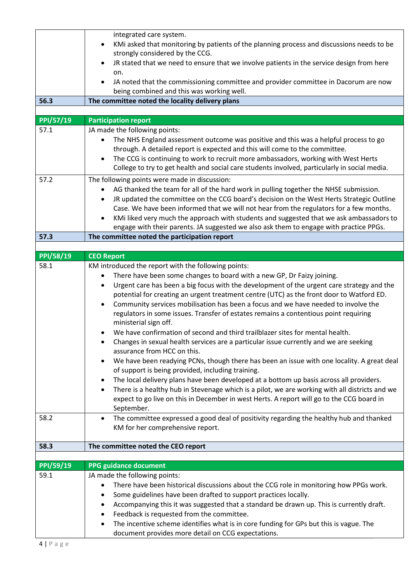| 56.3<br>PPI/57/19<br>57.1 | integrated care system.<br>KMi asked that monitoring by patients of the planning process and discussions needs to be<br>$\bullet$<br>strongly considered by the CCG.<br>JR stated that we need to ensure that we involve patients in the service design from here<br>$\bullet$<br>on.<br>JA noted that the commissioning committee and provider committee in Dacorum are now<br>being combined and this was working well.<br>The committee noted the locality delivery plans<br><b>Participation report</b><br>JA made the following points:                                                                                                                                                                                                                                                                                                                                                                                                                                                                                                                                                                                                                                                                                                                                                                                                                                                                        |
|---------------------------|---------------------------------------------------------------------------------------------------------------------------------------------------------------------------------------------------------------------------------------------------------------------------------------------------------------------------------------------------------------------------------------------------------------------------------------------------------------------------------------------------------------------------------------------------------------------------------------------------------------------------------------------------------------------------------------------------------------------------------------------------------------------------------------------------------------------------------------------------------------------------------------------------------------------------------------------------------------------------------------------------------------------------------------------------------------------------------------------------------------------------------------------------------------------------------------------------------------------------------------------------------------------------------------------------------------------------------------------------------------------------------------------------------------------|
|                           | The NHS England assessment outcome was positive and this was a helpful process to go<br>through. A detailed report is expected and this will come to the committee.<br>The CCG is continuing to work to recruit more ambassadors, working with West Herts<br>$\bullet$<br>College to try to get health and social care students involved, particularly in social media.                                                                                                                                                                                                                                                                                                                                                                                                                                                                                                                                                                                                                                                                                                                                                                                                                                                                                                                                                                                                                                             |
| 57.2                      | The following points were made in discussion:<br>AG thanked the team for all of the hard work in pulling together the NHSE submission.<br>JR updated the committee on the CCG board's decision on the West Herts Strategic Outline<br>$\bullet$<br>Case. We have been informed that we will not hear from the regulators for a few months.<br>KMi liked very much the approach with students and suggested that we ask ambassadors to<br>engage with their parents. JA suggested we also ask them to engage with practice PPGs.                                                                                                                                                                                                                                                                                                                                                                                                                                                                                                                                                                                                                                                                                                                                                                                                                                                                                     |
| 57.3                      | The committee noted the participation report                                                                                                                                                                                                                                                                                                                                                                                                                                                                                                                                                                                                                                                                                                                                                                                                                                                                                                                                                                                                                                                                                                                                                                                                                                                                                                                                                                        |
| PPI/58/19                 | <b>CEO Report</b>                                                                                                                                                                                                                                                                                                                                                                                                                                                                                                                                                                                                                                                                                                                                                                                                                                                                                                                                                                                                                                                                                                                                                                                                                                                                                                                                                                                                   |
| 58.1<br>58.2              | KM introduced the report with the following points:<br>There have been some changes to board with a new GP, Dr Faizy joining.<br>٠<br>Urgent care has been a big focus with the development of the urgent care strategy and the<br>potential for creating an urgent treatment centre (UTC) as the front door to Watford ED.<br>Community services mobilisation has been a focus and we have needed to involve the<br>$\bullet$<br>regulators in some issues. Transfer of estates remains a contentious point requiring<br>ministerial sign off.<br>We have confirmation of second and third trailblazer sites for mental health.<br>$\bullet$<br>Changes in sexual health services are a particular issue currently and we are seeking<br>assurance from HCC on this.<br>We have been readying PCNs, though there has been an issue with one locality. A great deal<br>$\bullet$<br>of support is being provided, including training.<br>The local delivery plans have been developed at a bottom up basis across all providers.<br>$\bullet$<br>There is a healthy hub in Stevenage which is a pilot, we are working with all districts and we<br>$\bullet$<br>expect to go live on this in December in west Herts. A report will go to the CCG board in<br>September.<br>The committee expressed a good deal of positivity regarding the healthy hub and thanked<br>$\bullet$<br>KM for her comprehensive report. |
| 58.3                      | The committee noted the CEO report                                                                                                                                                                                                                                                                                                                                                                                                                                                                                                                                                                                                                                                                                                                                                                                                                                                                                                                                                                                                                                                                                                                                                                                                                                                                                                                                                                                  |
|                           |                                                                                                                                                                                                                                                                                                                                                                                                                                                                                                                                                                                                                                                                                                                                                                                                                                                                                                                                                                                                                                                                                                                                                                                                                                                                                                                                                                                                                     |
| PPI/59/19                 | <b>PPG guidance document</b>                                                                                                                                                                                                                                                                                                                                                                                                                                                                                                                                                                                                                                                                                                                                                                                                                                                                                                                                                                                                                                                                                                                                                                                                                                                                                                                                                                                        |
| 59.1                      | JA made the following points:<br>There have been historical discussions about the CCG role in monitoring how PPGs work.<br>٠<br>Some guidelines have been drafted to support practices locally.<br>٠<br>Accompanying this it was suggested that a standard be drawn up. This is currently draft.<br>Feedback is requested from the committee.<br>The incentive scheme identifies what is in core funding for GPs but this is vague. The<br>$\bullet$<br>document provides more detail on CCG expectations.                                                                                                                                                                                                                                                                                                                                                                                                                                                                                                                                                                                                                                                                                                                                                                                                                                                                                                          |